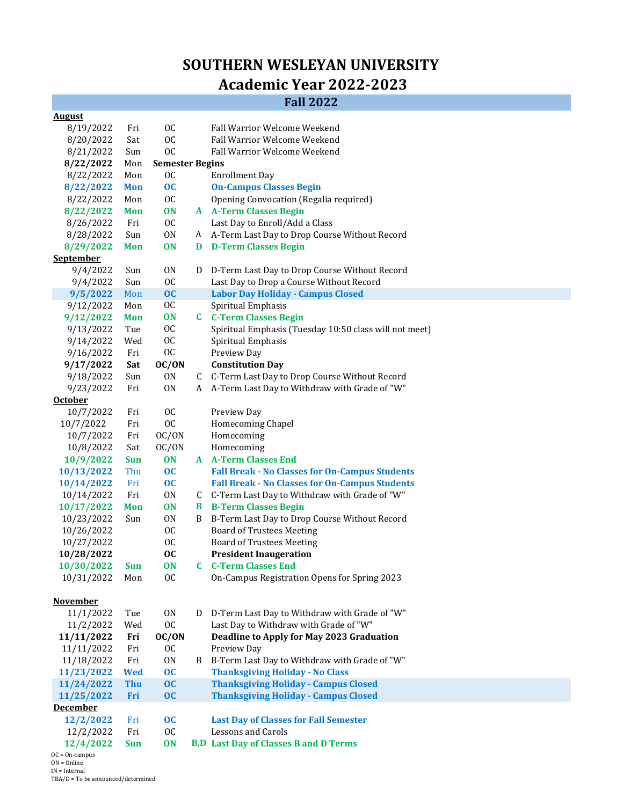## **SOUTHERN WESLEYAN UNIVERSITY**

## **Academic Year 2022‐2023**

## **Fall 2022**

| <b>August</b>    |                               |                        |   |                                                        |  |  |  |
|------------------|-------------------------------|------------------------|---|--------------------------------------------------------|--|--|--|
| 8/19/2022        | Fri                           | 0C                     |   | Fall Warrior Welcome Weekend                           |  |  |  |
| 8/20/2022        | Sat                           | 0C                     |   | Fall Warrior Welcome Weekend                           |  |  |  |
| 8/21/2022        | Sun                           | <b>OC</b>              |   | Fall Warrior Welcome Weekend                           |  |  |  |
| 8/22/2022        | Mon                           | <b>Semester Begins</b> |   |                                                        |  |  |  |
| 8/22/2022        | Mon                           | <sub>0</sub> C         |   | <b>Enrollment Day</b>                                  |  |  |  |
| 8/22/2022        | <b>Mon</b>                    | $\overline{OC}$        |   | <b>On-Campus Classes Begin</b>                         |  |  |  |
| 8/22/2022        | Mon                           | <b>OC</b>              |   | Opening Convocation (Regalia required)                 |  |  |  |
| 8/22/2022        | <b>Mon</b>                    | ON                     |   | <b>A</b> A-Term Classes Begin                          |  |  |  |
| 8/26/2022        | Fri                           | <sub>0</sub> C         |   | Last Day to Enroll/Add a Class                         |  |  |  |
| 8/28/2022        | Sun                           | 0N                     |   | A A-Term Last Day to Drop Course Without Record        |  |  |  |
| 8/29/2022        | <b>Mon</b>                    | ON                     | D | <b>D-Term Classes Begin</b>                            |  |  |  |
| September        |                               |                        |   |                                                        |  |  |  |
| 9/4/2022         | Sun                           | 0 <sub>N</sub>         | D | D-Term Last Day to Drop Course Without Record          |  |  |  |
| 9/4/2022         | Sun                           | <b>OC</b>              |   | Last Day to Drop a Course Without Record               |  |  |  |
| 9/5/2022         | Mon                           | OC                     |   | <b>Labor Day Holiday - Campus Closed</b>               |  |  |  |
| 9/12/2022        | Mon                           | 0C                     |   | Spiritual Emphasis                                     |  |  |  |
| 9/12/2022        | <b>Mon</b>                    | <b>ON</b>              |   | <b>C</b> C-Term Classes Begin                          |  |  |  |
| 9/13/2022        | Tue                           | <sub>0</sub>           |   | Spiritual Emphasis (Tuesday 10:50 class will not meet) |  |  |  |
| 9/14/2022        | Wed                           | <b>OC</b>              |   | Spiritual Emphasis                                     |  |  |  |
| 9/16/2022        | Fri                           | <b>OC</b>              |   | Preview Day                                            |  |  |  |
| 9/17/2022        | Sat                           | OC/ON                  |   | <b>Constitution Day</b>                                |  |  |  |
| 9/18/2022        | Sun                           | 0 <sub>N</sub>         |   | C C-Term Last Day to Drop Course Without Record        |  |  |  |
| 9/23/2022        | Fri                           | 0 <sub>N</sub>         |   | A A-Term Last Day to Withdraw with Grade of "W"        |  |  |  |
| <b>October</b>   |                               |                        |   |                                                        |  |  |  |
| 10/7/2022        | Fri                           | <b>OC</b>              |   | Preview Day                                            |  |  |  |
| 10/7/2022        | Fri                           | <b>OC</b>              |   | Homecoming Chapel                                      |  |  |  |
| 10/7/2022        | Fri                           | OC/ON                  |   | Homecoming                                             |  |  |  |
| 10/8/2022        | Sat                           | OC/ON                  |   | Homecoming                                             |  |  |  |
| 10/9/2022        | <b>Sun</b>                    | ON                     |   | <b>A</b> A-Term Classes End                            |  |  |  |
| 10/13/2022       | Thu                           | $\overline{OC}$        |   | <b>Fall Break - No Classes for On-Campus Students</b>  |  |  |  |
| 10/14/2022       | Fri                           | $\overline{OC}$        |   | <b>Fall Break - No Classes for On-Campus Students</b>  |  |  |  |
| 10/14/2022       | Fri                           | 0 <sub>N</sub>         |   | C C-Term Last Day to Withdraw with Grade of "W"        |  |  |  |
| 10/17/2022       | <b>Mon</b>                    | <b>ON</b>              |   | <b>B</b> B-Term Classes Begin                          |  |  |  |
| 10/23/2022       | Sun                           | 0 <sub>N</sub>         | B | B-Term Last Day to Drop Course Without Record          |  |  |  |
| 10/26/2022       |                               | <b>OC</b>              |   | <b>Board of Trustees Meeting</b>                       |  |  |  |
| 10/27/2022       |                               | <b>OC</b>              |   | <b>Board of Trustees Meeting</b>                       |  |  |  |
| 10/28/2022       |                               | <b>OC</b>              |   | <b>President Inaugeration</b>                          |  |  |  |
| 10/30/2022       | <b>Sun</b>                    | <b>ON</b>              |   | <b>C</b> C-Term Classes End                            |  |  |  |
| 10/31/2022       | $\operatorname{\mathsf{Mon}}$ | <b>OC</b>              |   | On-Campus Registration Opens for Spring 2023           |  |  |  |
|                  |                               |                        |   |                                                        |  |  |  |
| <b>November</b>  |                               |                        |   |                                                        |  |  |  |
| 11/1/2022        | Tue                           | 0 <sub>N</sub>         | D | D-Term Last Day to Withdraw with Grade of "W"          |  |  |  |
| 11/2/2022        | Wed                           | <b>OC</b>              |   | Last Day to Withdraw with Grade of "W"                 |  |  |  |
| 11/11/2022       | Fri                           | OC/ON                  |   | Deadline to Apply for May 2023 Graduation              |  |  |  |
| 11/11/2022       | Fri                           | <b>OC</b>              |   | Preview Day                                            |  |  |  |
| 11/18/2022       | Fri                           | 0N                     | B | B-Term Last Day to Withdraw with Grade of "W"          |  |  |  |
| 11/23/2022       | <b>Wed</b>                    | oc                     |   | <b>Thanksgiving Holiday - No Class</b>                 |  |  |  |
| 11/24/2022       | <b>Thu</b>                    | OC                     |   | <b>Thanksgiving Holiday - Campus Closed</b>            |  |  |  |
| 11/25/2022       | Fri                           | OC                     |   | <b>Thanksgiving Holiday - Campus Closed</b>            |  |  |  |
| <b>December</b>  |                               |                        |   |                                                        |  |  |  |
| 12/2/2022        | Fri                           | $\overline{OC}$        |   | <b>Last Day of Classes for Fall Semester</b>           |  |  |  |
| 12/2/2022        | Fri                           | <b>OC</b>              |   | <b>Lessons and Carols</b>                              |  |  |  |
| 12/4/2022        | <b>Sun</b>                    | <b>ON</b>              |   | <b>B,D</b> Last Day of Classes B and D Terms           |  |  |  |
| $OC = On-campus$ |                               |                        |   |                                                        |  |  |  |

ON = Online IN = Internal TBA/D = To be announced/determined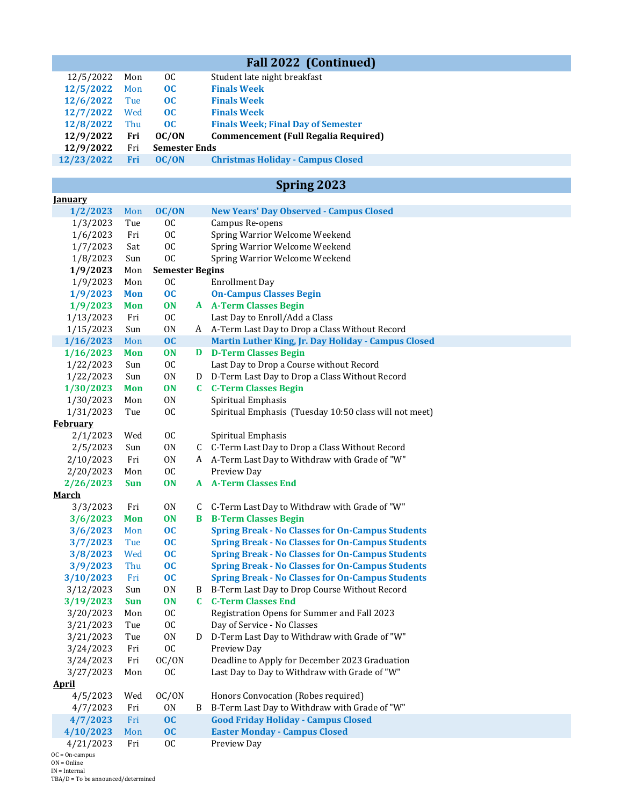| <b>Fall 2022 (Continued)</b> |            |                        |   |                                                         |  |
|------------------------------|------------|------------------------|---|---------------------------------------------------------|--|
| 12/5/2022                    | Mon        | <b>OC</b>              |   | Student late night breakfast                            |  |
| 12/5/2022                    | Mon        | oc                     |   | <b>Finals Week</b>                                      |  |
| 12/6/2022                    | Tue        | oc                     |   | <b>Finals Week</b>                                      |  |
| 12/7/2022                    | Wed        | OC                     |   | <b>Finals Week</b>                                      |  |
| 12/8/2022                    | Thu        | OC                     |   | <b>Finals Week; Final Day of Semester</b>               |  |
| 12/9/2022                    | Fri        | OC/ON                  |   | <b>Commencement (Full Regalia Required)</b>             |  |
| 12/9/2022                    | Fri        | <b>Semester Ends</b>   |   |                                                         |  |
| 12/23/2022                   | Fri        | OC/ON                  |   | <b>Christmas Holiday - Campus Closed</b>                |  |
|                              |            |                        |   |                                                         |  |
| <u>Ianuary</u>               |            |                        |   | Spring 2023                                             |  |
| 1/2/2023                     | Mon        | OC/ON                  |   | <b>New Years' Day Observed - Campus Closed</b>          |  |
| 1/3/2023                     | Tue        | <b>OC</b>              |   | Campus Re-opens                                         |  |
| 1/6/2023                     | Fri        | <b>OC</b>              |   | Spring Warrior Welcome Weekend                          |  |
| 1/7/2023                     | Sat        | <b>OC</b>              |   | Spring Warrior Welcome Weekend                          |  |
| 1/8/2023                     | Sun        | <b>OC</b>              |   | Spring Warrior Welcome Weekend                          |  |
| 1/9/2023                     | Mon        | <b>Semester Begins</b> |   |                                                         |  |
| 1/9/2023                     | Mon        | <b>OC</b>              |   | <b>Enrollment Day</b>                                   |  |
| 1/9/2023                     | <b>Mon</b> | OC                     |   | <b>On-Campus Classes Begin</b>                          |  |
| 1/9/2023                     | <b>Mon</b> | <b>ON</b>              |   | <b>A</b> A-Term Classes Begin                           |  |
| 1/13/2023                    | Fri        | <sub>0</sub>           |   | Last Day to Enroll/Add a Class                          |  |
| 1/15/2023                    | Sun        | 0 <sub>N</sub>         |   | A A-Term Last Day to Drop a Class Without Record        |  |
| 1/16/2023                    | Mon        | OC                     |   | Martin Luther King, Jr. Day Holiday - Campus Closed     |  |
| 1/16/2023                    | <b>Mon</b> | <b>ON</b>              |   | <b>D</b> D-Term Classes Begin                           |  |
| 1/22/2023                    | Sun        | <b>OC</b>              |   | Last Day to Drop a Course without Record                |  |
| 1/22/2023                    | Sun        | 0 <sub>N</sub>         |   | D D-Term Last Day to Drop a Class Without Record        |  |
| 1/30/2023                    | <b>Mon</b> | <b>ON</b>              |   | <b>C</b> C-Term Classes Begin                           |  |
| 1/30/2023                    | Mon        | 0N                     |   | Spiritual Emphasis                                      |  |
| 1/31/2023                    | Tue        | <b>OC</b>              |   | Spiritual Emphasis (Tuesday 10:50 class will not meet)  |  |
| <b>February</b>              |            |                        |   |                                                         |  |
| 2/1/2023                     | Wed        | <b>OC</b>              |   | Spiritual Emphasis                                      |  |
| 2/5/2023                     | Sun        | 0 <sub>N</sub>         |   | C C-Term Last Day to Drop a Class Without Record        |  |
| 2/10/2023                    | Fri        | 0 <sub>N</sub>         |   | A A-Term Last Day to Withdraw with Grade of "W"         |  |
| 2/20/2023                    | Mon        | <b>OC</b>              |   | Preview Day                                             |  |
| 2/26/2023                    | <b>Sun</b> | <b>ON</b>              |   | <b>A</b> A-Term Classes End                             |  |
| <u>March</u>                 |            |                        |   |                                                         |  |
| 3/3/2023                     | Fri        | 0 <sub>N</sub>         |   | C C-Term Last Day to Withdraw with Grade of "W"         |  |
| 3/6/2023                     | <b>Mon</b> | <b>ON</b>              | B | <b>B-Term Classes Begin</b>                             |  |
| 3/6/2023                     | Mon        | $\overline{OC}$        |   | <b>Spring Break - No Classes for On-Campus Students</b> |  |
| 3/7/2023                     | Tue        | $\overline{OC}$        |   | <b>Spring Break - No Classes for On-Campus Students</b> |  |
| 3/8/2023                     | Wed        | oc                     |   | <b>Spring Break - No Classes for On-Campus Students</b> |  |
| 3/9/2023                     | Thu        | oc                     |   | <b>Spring Break - No Classes for On-Campus Students</b> |  |
| 3/10/2023                    | Fri        | oc                     |   | <b>Spring Break - No Classes for On-Campus Students</b> |  |
| 3/12/2023                    | Sun        | ON                     | B | B-Term Last Day to Drop Course Without Record           |  |
| 3/19/2023                    | <b>Sun</b> | <b>ON</b>              |   | <b>C</b> C-Term Classes End                             |  |
| 3/20/2023                    | Mon        | <b>OC</b>              |   | Registration Opens for Summer and Fall 2023             |  |
| 3/21/2023                    | Tue        | <b>OC</b>              |   | Day of Service - No Classes                             |  |
| 3/21/2023                    | Tue        | 0 <sub>N</sub>         | D | D-Term Last Day to Withdraw with Grade of "W"           |  |
| 3/24/2023                    | Fri        | <b>OC</b>              |   | Preview Day                                             |  |
| 3/24/2023                    | Fri        | OC/ON                  |   | Deadline to Apply for December 2023 Graduation          |  |
| 3/27/2023                    | Mon        | <b>OC</b>              |   | Last Day to Day to Withdraw with Grade of "W"           |  |
| <u>April</u>                 |            |                        |   |                                                         |  |
| 4/5/2023                     | Wed        | OC/ON                  |   | Honors Convocation (Robes required)                     |  |
| 4/7/2023                     | Fri        | 0 <sub>N</sub>         | B | B-Term Last Day to Withdraw with Grade of "W"           |  |
| 4/7/2023                     | Fri        | OC                     |   | <b>Good Friday Holiday - Campus Closed</b>              |  |
| 4/10/2023                    | Mon        | OC                     |   | <b>Easter Monday - Campus Closed</b>                    |  |
| 4/21/2023                    | Fri        | <sub>0</sub> C         |   | Preview Day                                             |  |

OC = On-campus ON = Online

IN = Internal TBA/D = To be announced/determined